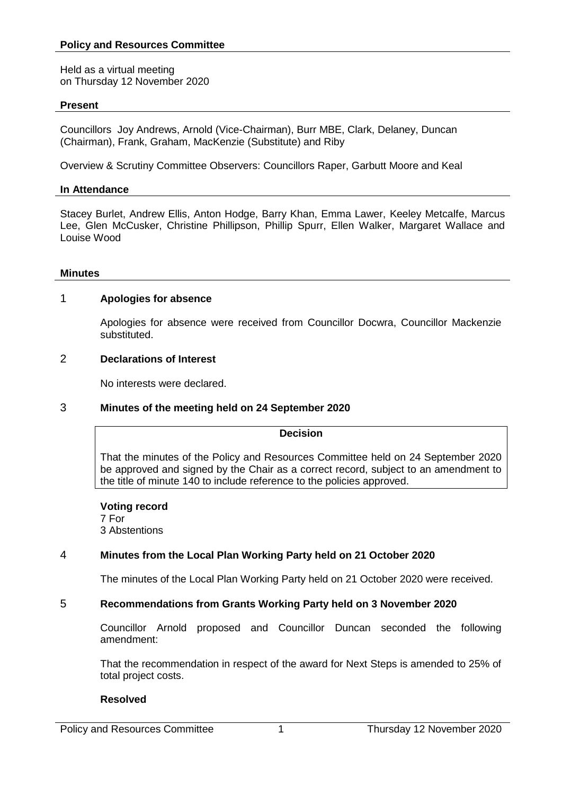Held as a virtual meeting on Thursday 12 November 2020

## **Present**

Councillors Joy Andrews, Arnold (Vice-Chairman), Burr MBE, Clark, Delaney, Duncan (Chairman), Frank, Graham, MacKenzie (Substitute) and Riby

Overview & Scrutiny Committee Observers: Councillors Raper, Garbutt Moore and Keal

## **In Attendance**

Stacey Burlet, Andrew Ellis, Anton Hodge, Barry Khan, Emma Lawer, Keeley Metcalfe, Marcus Lee, Glen McCusker, Christine Phillipson, Phillip Spurr, Ellen Walker, Margaret Wallace and Louise Wood

#### **Minutes**

## 1 **Apologies for absence**

Apologies for absence were received from Councillor Docwra, Councillor Mackenzie substituted.

## 2 **Declarations of Interest**

No interests were declared.

# 3 **Minutes of the meeting held on 24 September 2020**

#### **Decision**

That the minutes of the Policy and Resources Committee held on 24 September 2020 be approved and signed by the Chair as a correct record, subject to an amendment to the title of minute 140 to include reference to the policies approved.

**Voting record** 7 For 3 Abstentions

# 4 **Minutes from the Local Plan Working Party held on 21 October 2020**

The minutes of the Local Plan Working Party held on 21 October 2020 were received.

# 5 **Recommendations from Grants Working Party held on 3 November 2020**

Councillor Arnold proposed and Councillor Duncan seconded the following amendment:

That the recommendation in respect of the award for Next Steps is amended to 25% of total project costs.

# **Resolved**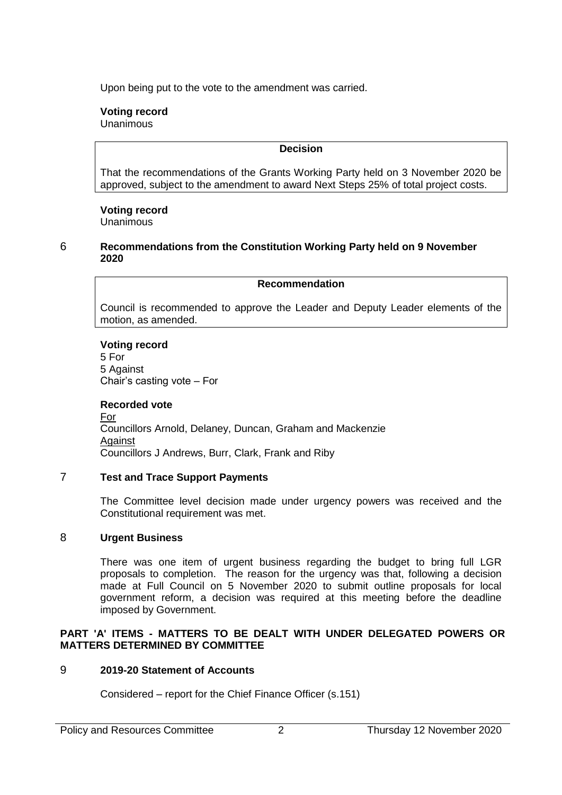Upon being put to the vote to the amendment was carried.

# **Voting record**

Unanimous

# **Decision**

That the recommendations of the Grants Working Party held on 3 November 2020 be approved, subject to the amendment to award Next Steps 25% of total project costs.

# **Voting record**

Unanimous

## 6 **Recommendations from the Constitution Working Party held on 9 November 2020**

# **Recommendation**

Council is recommended to approve the Leader and Deputy Leader elements of the motion, as amended.

## **Voting record**

5 For 5 Against Chair's casting vote – For

# **Recorded vote**

For Councillors Arnold, Delaney, Duncan, Graham and Mackenzie **Against** Councillors J Andrews, Burr, Clark, Frank and Riby

# 7 **Test and Trace Support Payments**

The Committee level decision made under urgency powers was received and the Constitutional requirement was met.

# 8 **Urgent Business**

There was one item of urgent business regarding the budget to bring full LGR proposals to completion. The reason for the urgency was that, following a decision made at Full Council on 5 November 2020 to submit outline proposals for local government reform, a decision was required at this meeting before the deadline imposed by Government.

## **PART 'A' ITEMS - MATTERS TO BE DEALT WITH UNDER DELEGATED POWERS OR MATTERS DETERMINED BY COMMITTEE**

# 9 **2019-20 Statement of Accounts**

Considered – report for the Chief Finance Officer (s.151)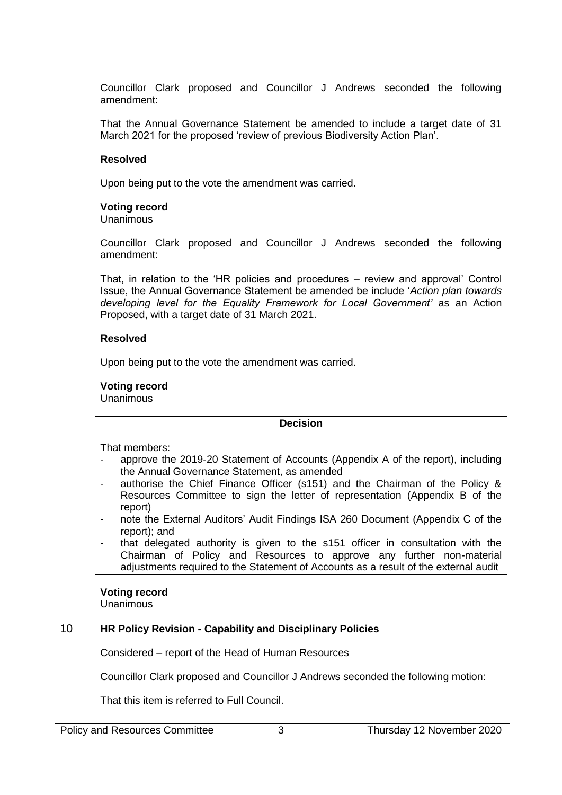Councillor Clark proposed and Councillor J Andrews seconded the following amendment:

That the Annual Governance Statement be amended to include a target date of 31 March 2021 for the proposed 'review of previous Biodiversity Action Plan'.

#### **Resolved**

Upon being put to the vote the amendment was carried.

#### **Voting record**

Unanimous

Councillor Clark proposed and Councillor J Andrews seconded the following amendment:

That, in relation to the 'HR policies and procedures – review and approval' Control Issue, the Annual Governance Statement be amended be include '*Action plan towards developing level for the Equality Framework for Local Government'* as an Action Proposed, with a target date of 31 March 2021.

#### **Resolved**

Upon being put to the vote the amendment was carried.

## **Voting record**

Unanimous

#### **Decision**

That members:

- approve the 2019-20 Statement of Accounts (Appendix A of the report), including the Annual Governance Statement, as amended
- authorise the Chief Finance Officer (s151) and the Chairman of the Policy & Resources Committee to sign the letter of representation (Appendix B of the report)
- note the External Auditors' Audit Findings ISA 260 Document (Appendix C of the report); and
- that delegated authority is given to the s151 officer in consultation with the Chairman of Policy and Resources to approve any further non-material adjustments required to the Statement of Accounts as a result of the external audit

#### **Voting record**

Unanimous

#### 10 **HR Policy Revision - Capability and Disciplinary Policies**

Considered – report of the Head of Human Resources

Councillor Clark proposed and Councillor J Andrews seconded the following motion:

That this item is referred to Full Council.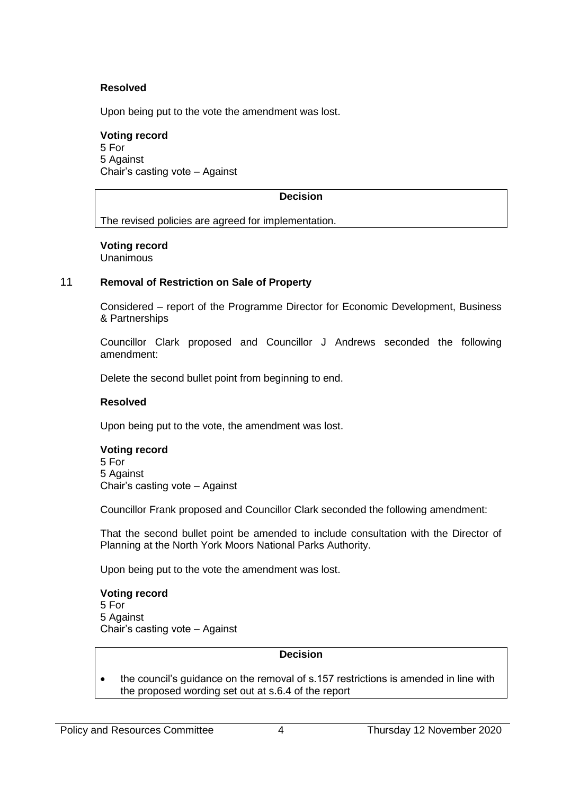## **Resolved**

Upon being put to the vote the amendment was lost.

# **Voting record**

5 For 5 Against Chair's casting vote – Against

# **Decision**

The revised policies are agreed for implementation.

## **Voting record**

Unanimous

## 11 **Removal of Restriction on Sale of Property**

Considered – report of the Programme Director for Economic Development, Business & Partnerships

Councillor Clark proposed and Councillor J Andrews seconded the following amendment:

Delete the second bullet point from beginning to end.

#### **Resolved**

Upon being put to the vote, the amendment was lost.

#### **Voting record**

5 For 5 Against Chair's casting vote – Against

Councillor Frank proposed and Councillor Clark seconded the following amendment:

That the second bullet point be amended to include consultation with the Director of Planning at the North York Moors National Parks Authority.

Upon being put to the vote the amendment was lost.

# **Voting record**

5 For 5 Against Chair's casting vote – Against

#### **Decision**

• the council's guidance on the removal of s.157 restrictions is amended in line with the proposed wording set out at s.6.4 of the report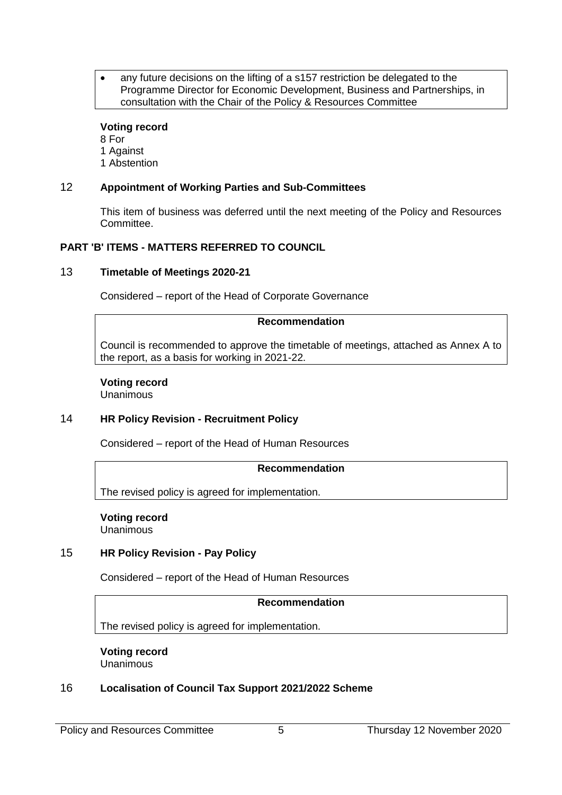any future decisions on the lifting of a s157 restriction be delegated to the Programme Director for Economic Development, Business and Partnerships, in consultation with the Chair of the Policy & Resources Committee

#### **Voting record**

8 For 1 Against 1 Abstention

# 12 **Appointment of Working Parties and Sub-Committees**

This item of business was deferred until the next meeting of the Policy and Resources Committee.

# **PART 'B' ITEMS - MATTERS REFERRED TO COUNCIL**

#### 13 **Timetable of Meetings 2020-21**

Considered – report of the Head of Corporate Governance

#### **Recommendation**

Council is recommended to approve the timetable of meetings, attached as Annex A to the report, as a basis for working in 2021-22.

# **Voting record**

Unanimous

# 14 **HR Policy Revision - Recruitment Policy**

Considered – report of the Head of Human Resources

#### **Recommendation**

The revised policy is agreed for implementation.

#### **Voting record** Unanimous

15 **HR Policy Revision - Pay Policy**

Considered – report of the Head of Human Resources

#### **Recommendation**

The revised policy is agreed for implementation.

**Voting record** Unanimous

# 16 **Localisation of Council Tax Support 2021/2022 Scheme**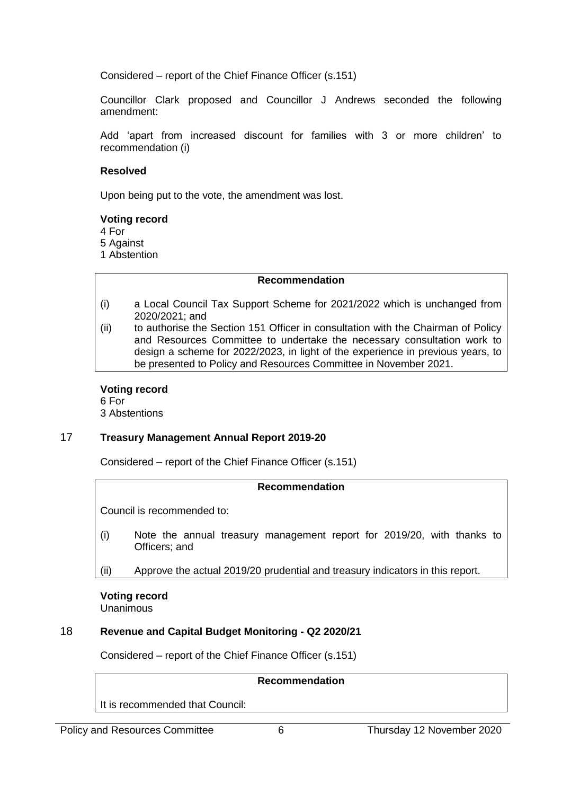Considered – report of the Chief Finance Officer (s.151)

Councillor Clark proposed and Councillor J Andrews seconded the following amendment:

Add 'apart from increased discount for families with 3 or more children' to recommendation (i)

## **Resolved**

Upon being put to the vote, the amendment was lost.

## **Voting record**

4 For

5 Against

1 Abstention

## **Recommendation**

- (i) a Local Council Tax Support Scheme for 2021/2022 which is unchanged from 2020/2021; and
- (ii) to authorise the Section 151 Officer in consultation with the Chairman of Policy and Resources Committee to undertake the necessary consultation work to design a scheme for 2022/2023, in light of the experience in previous years, to be presented to Policy and Resources Committee in November 2021.

# **Voting record**

6 For 3 Abstentions

# 17 **Treasury Management Annual Report 2019-20**

Considered – report of the Chief Finance Officer (s.151)

# **Recommendation**

Council is recommended to:

- (i) Note the annual treasury management report for 2019/20, with thanks to Officers; and
- (ii) Approve the actual 2019/20 prudential and treasury indicators in this report.

**Voting record** Unanimous

# 18 **Revenue and Capital Budget Monitoring - Q2 2020/21**

Considered – report of the Chief Finance Officer (s.151)

## **Recommendation**

It is recommended that Council: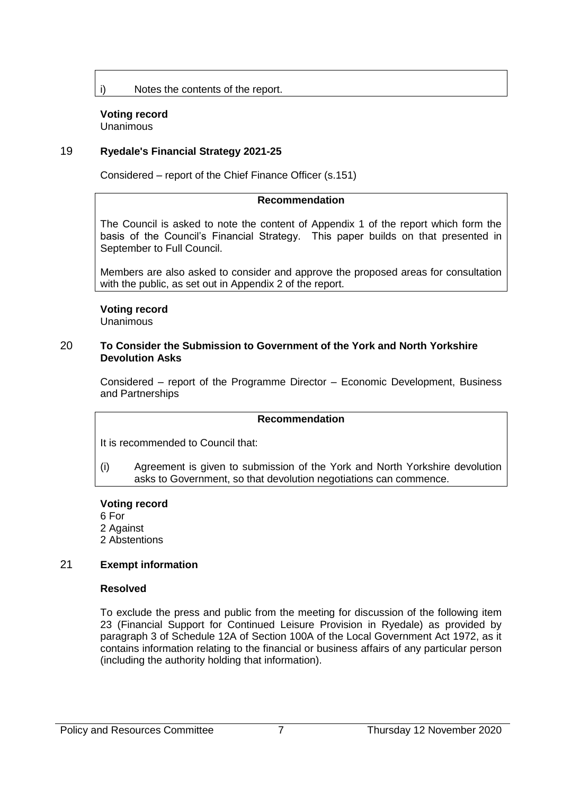i) Notes the contents of the report.

#### **Voting record** Unanimous

## 19 **Ryedale's Financial Strategy 2021-25**

Considered – report of the Chief Finance Officer (s.151)

#### **Recommendation**

The Council is asked to note the content of Appendix 1 of the report which form the basis of the Council's Financial Strategy. This paper builds on that presented in September to Full Council.

Members are also asked to consider and approve the proposed areas for consultation with the public, as set out in Appendix 2 of the report.

## **Voting record**

Unanimous

#### 20 **To Consider the Submission to Government of the York and North Yorkshire Devolution Asks**

Considered – report of the Programme Director – Economic Development, Business and Partnerships

#### **Recommendation**

It is recommended to Council that:

(i) Agreement is given to submission of the York and North Yorkshire devolution asks to Government, so that devolution negotiations can commence.

#### **Voting record**

- 6 For
- 2 Against
- 2 Abstentions

#### 21 **Exempt information**

#### **Resolved**

To exclude the press and public from the meeting for discussion of the following item 23 (Financial Support for Continued Leisure Provision in Ryedale) as provided by paragraph 3 of Schedule 12A of Section 100A of the Local Government Act 1972, as it contains information relating to the financial or business affairs of any particular person (including the authority holding that information).